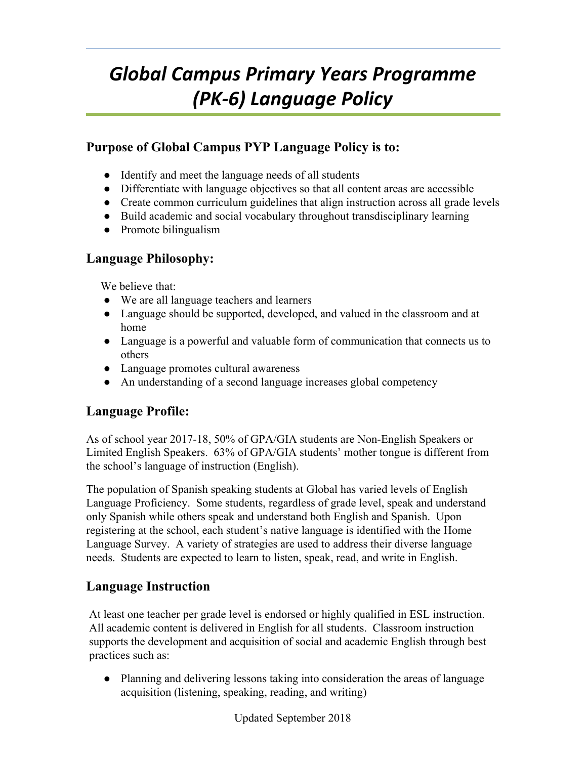# *Global Campus Primary Years Programme (PK-6) Language Policy*

## **Purpose of Global Campus PYP Language Policy is to:**

- Identify and meet the language needs of all students
- Differentiate with language objectives so that all content areas are accessible
- Create common curriculum guidelines that align instruction across all grade levels
- Build academic and social vocabulary throughout transdisciplinary learning
- Promote bilingualism

#### **Language Philosophy:**

We believe that:

- We are all language teachers and learners
- Language should be supported, developed, and valued in the classroom and at home
- Language is a powerful and valuable form of communication that connects us to others
- Language promotes cultural awareness
- An understanding of a second language increases global competency

## **Language Profile:**

As of school year 2017-18, 50% of GPA/GIA students are Non-English Speakers or Limited English Speakers. 63% of GPA/GIA students' mother tongue is different from the school's language of instruction (English).

The population of Spanish speaking students at Global has varied levels of English Language Proficiency. Some students, regardless of grade level, speak and understand only Spanish while others speak and understand both English and Spanish. Upon registering at the school, each student's native language is identified with the Home Language Survey. A variety of strategies are used to address their diverse language needs. Students are expected to learn to listen, speak, read, and write in English.

## **Language Instruction**

 At least one teacher per grade level is endorsed or highly qualified in ESL instruction. All academic content is delivered in English for all students. Classroom instruction supports the development and acquisition of social and academic English through best practices such as:

● Planning and delivering lessons taking into consideration the areas of language acquisition (listening, speaking, reading, and writing)